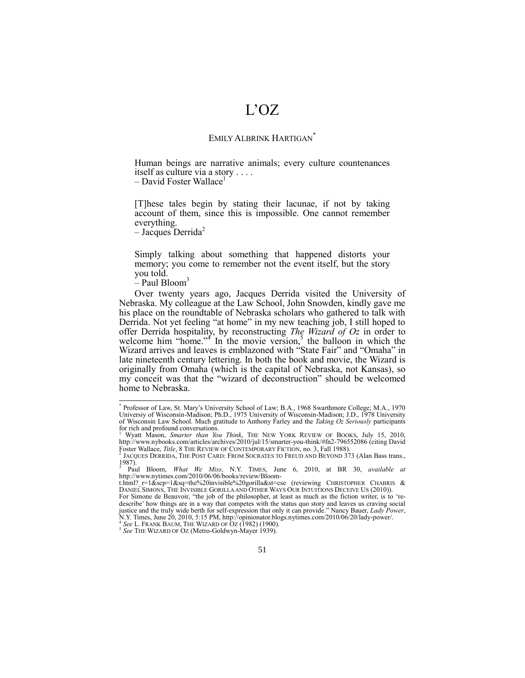## L'OZ

## EMILY ALBRINK HARTIGAN<sup>\*</sup>

Human beings are narrative animals; every culture countenances itself as culture via a story . . . .

 $-$  David Foster Wallace<sup>1</sup>

[T]hese tales begin by stating their lacunae, if not by taking account of them, since this is impossible. One cannot remember everything.

<span id="page-0-2"></span> $-$  Jacques Derrida<sup>2</sup>

Simply talking about something that happened distorts your memory; you come to remember not the event itself, but the story you told.

<span id="page-0-1"></span><span id="page-0-0"></span> $-$  Paul Bloom<sup>3</sup>

Over twenty years ago, Jacques Derrida visited the University of Nebraska. My colleague at the Law School, John Snowden, kindly gave me his place on the roundtable of Nebraska scholars who gathered to talk with Derrida. Not yet feeling "at home" in my new teaching job, I still hoped to offer Derrida hospitality, by reconstructing *The Wizard of Oz* in order to welcome him "home."<sup> $4$ '</sup> In the movie version,<sup>5</sup> the balloon in which the Wizard arrives and leaves is emblazoned with "State Fair" and "Omaha" in late nineteenth century lettering. In both the book and movie, the Wizard is originally from Omaha (which is the capital of Nebraska, not Kansas), so my conceit was that the "wizard of deconstruction" should be welcomed home to Nebraska.

 \* Professor of Law, St. Mary's University School of Law; B.A., 1968 Swarthmore College; M.A., 1970 Universiy of Wisconsin-Madison; Ph.D., 1975 University of Wisconsin-Madison; J.D., 1978 University of Wisconsin Law School. Much gratitude to Anthony Farley and the *Taking Oz Seriously* participants for rich and profound conversations.

<sup>1</sup> Wyatt Mason, *Smarter than You Think*, THE NEW YORK REVIEW OF BOOKS, July 15, 2010, http://www.nybooks.com/articles/archives/2010/jul/15/smarter-you-think/#fn2-796552086 (citing David Foster Wallace*, Title*, 8 The Review of Contemporary Fiction, no. 3, Fall 1988).<br><sup>2</sup> Jacques Derrida, The Post Card: From Socrates to Freud and Beyond 373 (Alan Bass trans.,

 $1987$ ).

<sup>3</sup> Paul Bloom, *What We Miss*, N.Y. TIMES, June 6, 2010, at BR 30, *available at*  http://www.nytimes.com/2010/06/06/books/review/Bloom-

t.html?  $r=1$ &scp=1&sq=the%20invisible%20gorilla&st=cse (reviewing CHRISTOPHER CHABRIS & DANIEL SIMONS, THE INVISIBLE GORILLA AND OTHER WAYS OUR INTUITIONS DECEIVE US (2010)).

For Simone de Beauvoir, "the job of the philosopher, at least as much as the fiction writer, is to 'redescribe' how things are in a way that competes with the status quo story and leaves us craving social justice and the truly wide berth for self-expression that only it can provide." Nancy Bauer, *Lady Power*,<br>N.Y. Times, June 20, 2010, 5:15 PM, http://opinionator.blogs.nytimes.com/2010/06/20/lady-power/.<br><sup>4</sup> See L. En ANE *See* L. FRANK BAUM, THE WIZARD OF OZ (1982) (1900).

<sup>5</sup> *See* THE WIZARD OF OZ (Metro-Goldwyn-Mayer 1939).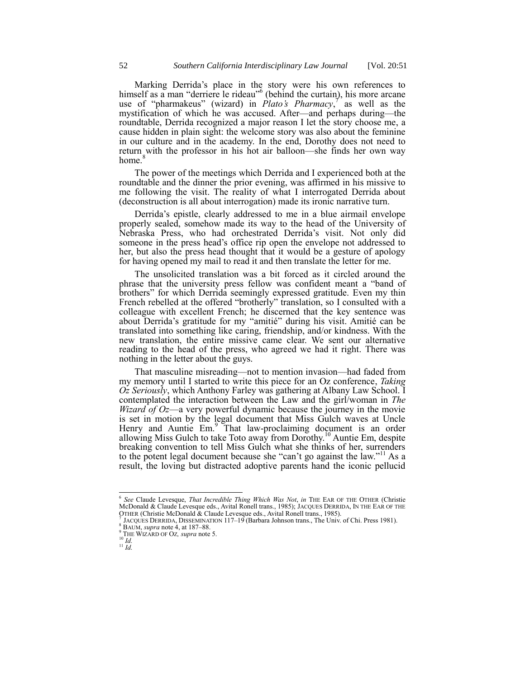Marking Derrida's place in the story were his own references to himself as a man "derriere le rideau" (behind the curtain), his more arcane use of "pharmakeus" (wizard) in *Plato's Pharmacy*,<sup>7'</sup> as well as the mystification of which he was accused. After—and perhaps during—the roundtable, Derrida recognized a major reason I let the story choose me, a cause hidden in plain sight: the welcome story was also about the feminine in our culture and in the academy. In the end, Dorothy does not need to return with the professor in his hot air balloon—she finds her own way home.<sup>8</sup>

The power of the meetings which Derrida and I experienced both at the roundtable and the dinner the prior evening, was affirmed in his missive to me following the visit. The reality of what I interrogated Derrida about (deconstruction is all about interrogation) made its ironic narrative turn.

Derrida's epistle, clearly addressed to me in a blue airmail envelope properly sealed, somehow made its way to the head of the University of Nebraska Press, who had orchestrated Derrida's visit. Not only did someone in the press head's office rip open the envelope not addressed to her, but also the press head thought that it would be a gesture of apology for having opened my mail to read it and then translate the letter for me.

The unsolicited translation was a bit forced as it circled around the phrase that the university press fellow was confident meant a "band of brothers" for which Derrida seemingly expressed gratitude. Even my thin French rebelled at the offered "brotherly" translation, so I consulted with a colleague with excellent French; he discerned that the key sentence was about Derrida's gratitude for my "amitié" during his visit. Amitié can be translated into something like caring, friendship, and/or kindness. With the new translation, the entire missive came clear. We sent our alternative reading to the head of the press, who agreed we had it right. There was nothing in the letter about the guys.

That masculine misreading—not to mention invasion—had faded from my memory until I started to write this piece for an Oz conference, *Taking Oz Seriously*, which Anthony Farley was gathering at Albany Law School. I contemplated the interaction between the Law and the girl/woman in *The Wizard of Oz*—a very powerful dynamic because the journey in the movie is set in motion by the legal document that Miss Gulch waves at Uncle Henry and Auntie Em.<sup>9</sup> That law-proclaiming document is an order allowing Miss Gulch to take Toto away from Dorothy.<sup>10</sup> Auntie Em, despite breaking convention to tell Miss Gulch what she thinks of her, surrenders to the potent legal document because she "can't go against the law."<sup>11</sup> As a result, the loving but distracted adoptive parents hand the iconic pellucid

 6 *See* Claude Levesque, *That Incredible Thing Which Was Not*, *in* THE EAR OF THE OTHER (Christie McDonald & Claude Levesque eds., Avital Ronell trans., 1985); JACQUES DERRIDA, IN THE EAR OF THE OTHER (Christie McDonald & Claude Levesque eds., Avital Ronell trans., 1985).<br><sup>7</sup> LeOUES DERRIDA, DISSEMBLATION 117, 10 (Berbare Johnson trans., The Univ.

JACQUES DERRIDA, DISSEMINATION 117–19 (Barbara Johnson trans., The Univ. of Chi. Press 1981).

<sup>8</sup> BAUM, *supra* not[e 4,](#page-0-0) at 187–88.

<sup>9</sup> THE WIZARD OF OZ*, supra* not[e 5.](#page-0-1) <sup>10</sup> *Id.*

<sup>11</sup> *Id.*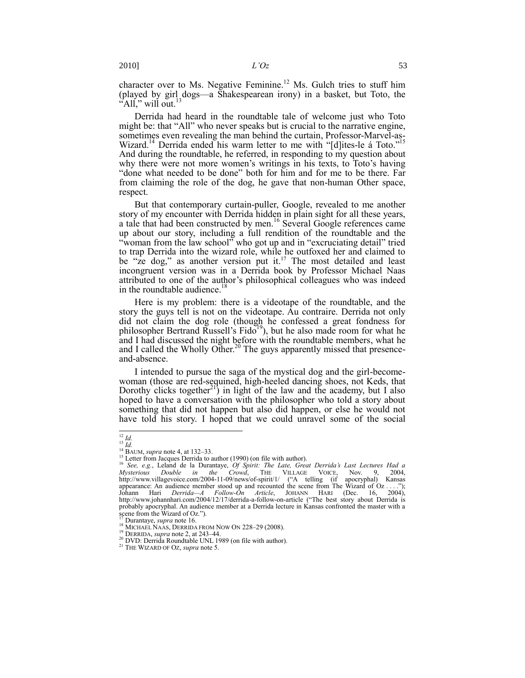character over to Ms. Negative Feminine.<sup>12</sup> Ms. Gulch tries to stuff him (played by girl  $\frac{1}{3}$ dogs—a Shakespearean irony) in a basket, but Toto, the  $A$ ll," will out.<sup>13</sup>

Derrida had heard in the roundtable tale of welcome just who Toto might be: that "All" who never speaks but is crucial to the narrative engine, sometimes even revealing the man behind the curtain, Professor-Marvel-as-Wizard.<sup>14</sup> Derrida ended his warm letter to me with "[d]ites-le á Toto. And during the roundtable, he referred, in responding to my question about why there were not more women's writings in his texts, to Toto's having "done what needed to be done" both for him and for me to be there. Far from claiming the role of the dog, he gave that non-human Other space, respect.

<span id="page-2-0"></span>But that contemporary curtain-puller, Google, revealed to me another story of my encounter with Derrida hidden in plain sight for all these years, a tale that had been constructed by men.<sup>16</sup> Several Google references came up about our story, including a full rendition of the roundtable and the "woman from the law school" who got up and in "excruciating detail" tried to trap Derrida into the wizard role, while he outfoxed her and claimed to be "ze dog," as another version put it.<sup>17</sup> The most detailed and least incongruent version was in a Derrida book by Professor Michael Naas attributed to one of the author's philosophical colleagues who was indeed in the roundtable audience.<sup>18</sup>

<span id="page-2-2"></span>Here is my problem: there is a videotape of the roundtable, and the story the guys tell is not on the videotape. Au contraire. Derrida not only did not claim the dog role (though he confessed a great fondness for philosopher Bertrand Russell's Fido<sup>19</sup>), but he also made room for what he and I had discussed the night before with the roundtable members, what he and I called the Wholly Other.<sup>20</sup> The guys apparently missed that presenceand-absence.

<span id="page-2-1"></span>I intended to pursue the saga of the mystical dog and the girl-becomewoman (those are red-sequined, high-heeled dancing shoes, not Keds, that Dorothy clicks together<sup>21</sup>) in light of the law and the academy, but I also hoped to have a conversation with the philosopher who told a story about something that did not happen but also did happen, or else he would not have told his story. I hoped that we could unravel some of the social

 $\overline{a}$ <sup>12</sup> *Id.* <sup>13</sup> *Id.*

<sup>14</sup> BAUM, *supra* not[e 4,](#page-0-0) at 132–33.

 $15$  Letter from Jacques Derrida to author (1990) (on file with author).

<sup>16</sup> *See, e.g.*, Leland de la Durantaye, *Of Spirit: The Late, Great Derrida's Last Lectures Had a Mysterious Double in the Crowd*, THE VILLAGE VOICE, Nov. 9, 2004, <br>http://www.villagevoice.com/2004-11-09/news/of-spirit/1/ (A telling (if apocryphal) Kansas appearance: An audience member stood up and recounted the scene from The Wizard of  $Oz$ ...."); Johann Hari *Derrida—A Follow-On Article*, JOHANN HARI (Dec. 16, 2004), http://www.johannhari.com/2004/12/17/derrida-a-follow-on-article ("The best story about Derrida is probably apocryphal. An audience member at a Derrida lecture in Kansas confronted the master with a scene from the Wizard of Oz.").

<sup>17</sup> Durantaye, *supra* not[e 16.](#page-2-0) 

 $^{18}$  Michael Naas, Derrida from Now On 228–29 (2008).

<sup>19</sup> DERRIDA, *supra* not[e 2,](#page-0-2) at 243–44.

<sup>20</sup> DVD: Derrida Roundtable UNL 1989 (on file with author).

<sup>21</sup> THE WIZARD OF OZ, *supra* not[e 5.](#page-0-1)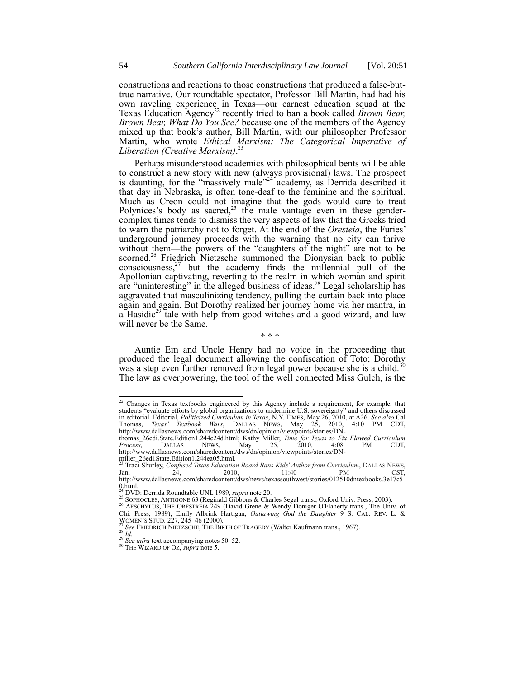constructions and reactions to those constructions that produced a false-buttrue narrative. Our roundtable spectator, Professor Bill Martin, had had his own raveling experience in Texas—our earnest education squad at the Texas Education Agency<sup>22</sup> recently tried to ban a book called *Brown Bear*, *Brown Bear, What Do You See?* because one of the members of the Agency mixed up that book's author, Bill Martin, with our philosopher Professor Martin, who wrote *Ethical Marxism: The Categorical Imperative of Liberation (Creative Marxism)*. 23

<span id="page-3-0"></span>Perhaps misunderstood academics with philosophical bents will be able to construct a new story with new (always provisional) laws. The prospect is daunting, for the "massively male"<sup>24"</sup> academy, as Derrida described it that day in Nebraska, is often tone-deaf to the feminine and the spiritual. Much as Creon could not imagine that the gods would care to treat Polynices's body as sacred,<sup>25</sup> the male vantage even in these gendercomplex times tends to dismiss the very aspects of law that the Greeks tried to warn the patriarchy not to forget. At the end of the *Oresteia*, the Furies' underground journey proceeds with the warning that no city can thrive without them—the powers of the "daughters of the night" are not to be scorned.<sup>26</sup> Friedrich Nietzsche summoned the Dionysian back to public  $\cos$ consciousness, $27$  but the academy finds the millennial pull of the Apollonian captivating, reverting to the realm in which woman and spirit are "uninteresting" in the alleged business of ideas.<sup>28</sup> Legal scholarship has aggravated that masculinizing tendency, pulling the curtain back into place again and again. But Dorothy realized her journey home via her mantra, in a Hasidic $^{29}$  tale with help from good witches and a good wizard, and law will never be the Same.

Auntie Em and Uncle Henry had no voice in the proceeding that produced the legal document allowing the confiscation of Toto; Dorothy was a step even further removed from legal power because she is a child.<sup>30</sup> The law as overpowering, the tool of the well connected Miss Gulch, is the

\* \* \*

 $22$  Changes in Texas textbooks engineered by this Agency include a requirement, for example, that students "evaluate efforts by global organizations to undermine U.S. sovereignty" and others discussed in editorial. Editorial, *Politicized Curriculum in Texas*, N.Y. TIMES, May 26, 2010, at A26. *See also* Cal Thomas, *Texas' Textbook Wars*, DALLAS NEWS, May 25, 2010, 4:10 PM CDT, http://www.dallasnews.com/sharedcontent/dws/dn/opinion/viewpoints/stories/DN-

thomas\_26edi.State.Edition1.244c24d.html; Kathy Miller, *Time for Texas to Fix Flawed Curriculum Process*, DALLAS NEWS, May 25, 2010, 4:08 PM CDT, http://www.dallasnews.com/sharedcontent/dws/dn/opinion/viewpoints/stories/DN-

miller\_26edi.State.Edition1.244ea05.html. <sup>23</sup> Traci Shurley, *Confused Texas Education Board Bans Kids' Author from Curriculum*, DALLAS NEWS, Jan. 24, 2010, 11:40 PM CST, http://www.dallasnews.com/sharedcontent/dws/news/texassouthwest/stories/012510dntexbooks.3e17c5  $0.$ html.

<sup>24</sup> DVD: Derrida Roundtable UNL 1989, *supra* not[e 20.](#page-2-1)

<sup>&</sup>lt;sup>25</sup> SOPHOCLES, ANTIGONE 63 (Reginald Gibbons & Charles Segal trans., Oxford Univ. Press, 2003).

<sup>&</sup>lt;sup>26</sup> AESCHYLUS, THE ORESTREIA 249 (David Grene & Wendy Doniger O'Flaherty trans., The Univ. of Chi. Press, 1989); Emily Albrink Hartigan, *Outlawing God the Daughter* 9 S. CAL. REV. L. & WOMEN'S STUD. 227, 245–46 (2000).

<sup>27</sup> *See* FRIEDRICH NIETZSCHE, THE BIRTH OF TRAGEDY (Walter Kaufmann trans., 1967).  $^{28}$  *Id.* 

<sup>&</sup>lt;sup>29</sup> See infra text accompanying note[s 50](#page-7-0)–[52.](#page-8-0)

<sup>30</sup> THE WIZARD OF OZ, *supra* not[e 5.](#page-0-1)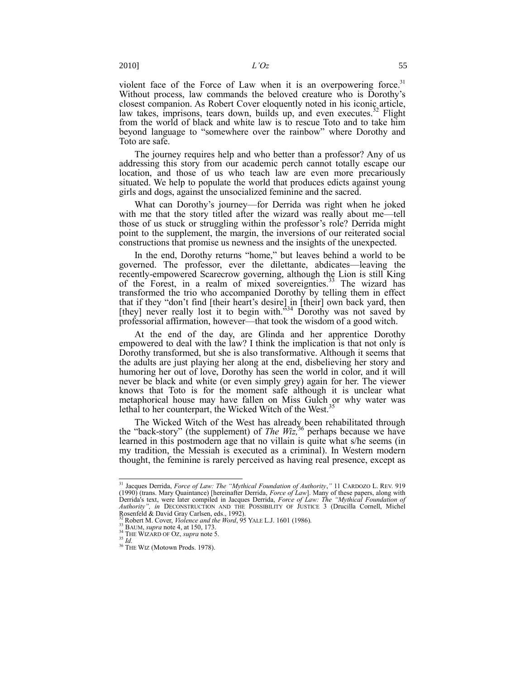<span id="page-4-0"></span>violent face of the Force of Law when it is an overpowering force.<sup>31</sup> Without process, law commands the beloved creature who is Dorothy's closest companion. As Robert Cover eloquently noted in his iconic article, law takes, imprisons, tears down, builds up, and even executes.<sup>32</sup> Flight from the world of black and white law is to rescue Toto and to take him beyond language to "somewhere over the rainbow" where Dorothy and Toto are safe.

The journey requires help and who better than a professor? Any of us addressing this story from our academic perch cannot totally escape our location, and those of us who teach law are even more precariously situated. We help to populate the world that produces edicts against young girls and dogs, against the unsocialized feminine and the sacred.

What can Dorothy's journey—for Derrida was right when he joked with me that the story titled after the wizard was really about me—tell those of us stuck or struggling within the professor's role? Derrida might point to the supplement, the margin, the inversions of our reiterated social constructions that promise us newness and the insights of the unexpected.

In the end, Dorothy returns "home," but leaves behind a world to be governed. The professor, ever the dilettante, abdicates—leaving the recently-empowered Scarecrow governing, although the Lion is still King of the Forest, in a realm of mixed sovereignties.<sup>33</sup> The wizard has transformed the trio who accompanied Dorothy by telling them in effect that if they "don't find [their heart's desire] in [their] own back yard, then [they] never really lost it to begin with.<sup>334</sup> Dorothy was not saved by professorial affirmation, however—that took the wisdom of a good witch.

At the end of the day, are Glinda and her apprentice Dorothy empowered to deal with the law? I think the implication is that not only is Dorothy transformed, but she is also transformative. Although it seems that the adults are just playing her along at the end, disbelieving her story and humoring her out of love, Dorothy has seen the world in color, and it will never be black and white (or even simply grey) again for her. The viewer knows that Toto is for the moment safe although it is unclear what metaphorical house may have fallen on Miss Gulch or why water was lethal to her counterpart, the Wicked Witch of the West.<sup>35</sup>

The Wicked Witch of the West has already been rehabilitated through the "back-story" (the supplement) of *The Wiz*,<sup>36</sup> perhaps because we have learned in this postmodern age that no villain is quite what s/he seems (in my tradition, the Messiah is executed as a criminal). In Western modern thought, the feminine is rarely perceived as having real presence, except as

<sup>&</sup>lt;sup>31</sup> Jacques Derrida, *Force of Law: The "Mythical Foundation of Authority*," 11 CARDOZO L. REV. 919 (1990) (trans. Mary Quaintance) [hereinafter Derrida, *Force of Law*]. Many of these papers, along with Derrida's text, were later compiled in Jacques Derrida, *Force of Law: The ―Mythical Foundation of Authority‖, in* DECONSTRUCTION AND THE POSSIBILITY OF JUSTICE 3 (Drucilla Cornell, Michel Rosenfeld & David Gray Carlsen, eds., 1992).

Robert M. Cover, *Violence and the Word*, 95 YALE L.J. 1601 (1986).

<sup>33</sup> BAUM, *supra* not[e 4,](#page-0-0) at 150, 173.

<sup>34</sup> THE WIZARD OF OZ, *supra* not[e 5.](#page-0-1) <sup>35</sup> *Id.*

<sup>&</sup>lt;sup>36</sup> THE WIZ (Motown Prods. 1978).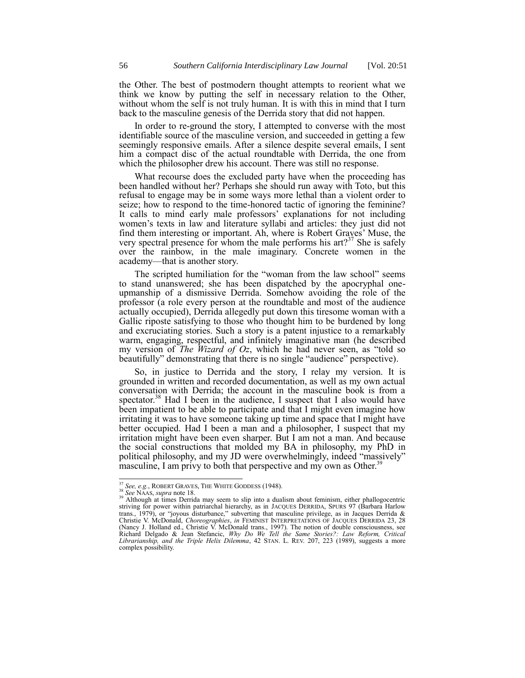the Other. The best of postmodern thought attempts to reorient what we think we know by putting the self in necessary relation to the Other, without whom the self is not truly human. It is with this in mind that I turn back to the masculine genesis of the Derrida story that did not happen.

In order to re-ground the story, I attempted to converse with the most identifiable source of the masculine version, and succeeded in getting a few seemingly responsive emails. After a silence despite several emails, I sent him a compact disc of the actual roundtable with Derrida, the one from which the philosopher drew his account. There was still no response.

What recourse does the excluded party have when the proceeding has been handled without her? Perhaps she should run away with Toto, but this refusal to engage may be in some ways more lethal than a violent order to seize; how to respond to the time-honored tactic of ignoring the feminine? It calls to mind early male professors' explanations for not including women's texts in law and literature syllabi and articles: they just did not find them interesting or important. Ah, where is Robert Graves' Muse, the very spectral presence for whom the male performs his  $art?$ <sup>37</sup> She is safely over the rainbow, in the male imaginary. Concrete women in the academy—that is another story.

The scripted humiliation for the "woman from the law school" seems to stand unanswered; she has been dispatched by the apocryphal oneupmanship of a dismissive Derrida. Somehow avoiding the role of the professor (a role every person at the roundtable and most of the audience actually occupied), Derrida allegedly put down this tiresome woman with a Gallic riposte satisfying to those who thought him to be burdened by long and excruciating stories. Such a story is a patent injustice to a remarkably warm, engaging, respectful, and infinitely imaginative man (he described my version of *The Wizard of Oz*, which he had never seen, as "told so beautifully" demonstrating that there is no single "audience" perspective).

So, in justice to Derrida and the story, I relay my version. It is grounded in written and recorded documentation, as well as my own actual conversation with Derrida; the account in the masculine book is from a spectator.<sup>38</sup> Had I been in the audience, I suspect that I also would have been impatient to be able to participate and that I might even imagine how irritating it was to have someone taking up time and space that I might have better occupied. Had I been a man and a philosopher, I suspect that my irritation might have been even sharper. But I am not a man. And because the social constructions that molded my BA in philosophy, my PhD in political philosophy, and my JD were overwhelmingly, indeed "massively" masculine, I am privy to both that perspective and my own as Other.<sup>39</sup>

<sup>&</sup>lt;sup>37</sup> See, e.g., ROBERT GRAVES, THE WHITE GODDESS (1948).

<sup>&</sup>lt;sup>38</sup> See NAAS, *supra* not[e 18.](#page-2-2)<br><sup>39</sup> Although at times Derrida may seem to slip into a dualism about feminism, either phallogocentric striving for power within patriarchal hierarchy, as in JACQUES DERRIDA, SPURS 97 (Barbara Harlow trans., 1979), or "joyous disturbance," subverting that masculine privilege, as in Jacques Derrida & Christie V. McDonald, *Choreographies*, *in* FEMINIST INTERPRETATIONS OF JACQUES DERRIDA 23, 28 (Nancy J. Holland ed., Christie V. McDonald trans., 1997). The notion of double consciousness, see Richard Delgado & Jean Stefancic, *Why Do We Tell the Same Stories?: Law Reform, Critical Librarianship, and the Triple Helix Dilemma*, 42 STAN. L. REV. 207, 223 (1989), suggests a more complex possibility.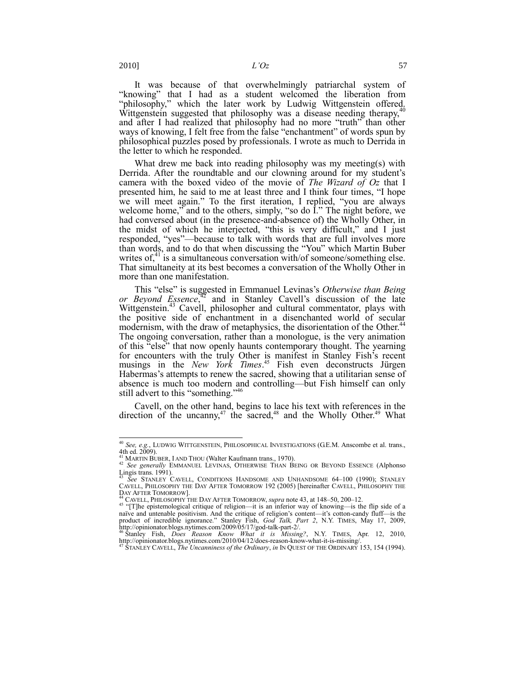l

It was because of that overwhelmingly patriarchal system of "knowing" that I had as a student welcomed the liberation from Allowing that I had as a structure work by Ludwig Wittgenstein offered. Wittgenstein suggested that philosophy was a disease needing therapy, $40^4$ and after I had realized that philosophy had no more "truth" than other ways of knowing, I felt free from the false "enchantment" of words spun by philosophical puzzles posed by professionals. I wrote as much to Derrida in the letter to which he responded.

What drew me back into reading philosophy was my meeting(s) with Derrida. After the roundtable and our clowning around for my student's camera with the boxed video of the movie of *The Wizard of Oz* that I presented him, he said to me at least three and I think four times, "I hope we will meet again." To the first iteration, I replied, "you are always welcome home," and to the others, simply, "so do  $\hat{I}$ ." The night before, we had conversed about (in the presence-and-absence of) the Wholly Other, in the midst of which he interjected, "this is very difficult," and I just responded, "yes"—because to talk with words that are full involves more than words, and to do that when discussing the "You" which Martin Buber writes of, $41$  is a simultaneous conversation with/of someone/something else. That simultaneity at its best becomes a conversation of the Wholly Other in more than one manifestation.

<span id="page-6-0"></span>This "else" is suggested in Emmanuel Levinas's Otherwise than Being *or Beyond Essence*, <sup>42</sup> and in Stanley Cavell's discussion of the late Wittgenstein.<sup>43</sup> Cavell, philosopher and cultural commentator, plays with the positive side of enchantment in a disenchanted world of secular modernism, with the draw of metaphysics, the disorientation of the Other.<sup>44</sup> The ongoing conversation, rather than a monologue, is the very animation of this "else" that now openly haunts contemporary thought. The yearning for encounters with the truly Other is manifest in Stanley Fish's recent musings in the *New York Times*. <sup>45</sup> Fish even deconstructs Jürgen Habermas's attempts to renew the sacred, showing that a utilitarian sense of absence is much too modern and controlling—but Fish himself can only still advert to this "something."<sup>46</sup>

Cavell, on the other hand, begins to lace his text with references in the direction of the uncanny,<sup>47</sup> the sacred,<sup>48</sup> and the Wholly Other.<sup>49</sup> What

<sup>&</sup>lt;sup>40</sup> *See, e.g.*, LUDWIG WITTGENSTEIN, PHILOSOPHICAL INVESTIGATIONS (G.E.M. Anscombe et al. trans., 4th ed. 2009).

<sup>&</sup>lt;sup>41</sup> MARTIN BUBER, I AND THOU (Walter Kaufmann trans., 1970).

<sup>42</sup> *See generally* EMMANUEL LEVINAS, OTHERWISE THAN BEING OR BEYOND ESSENCE (Alphonso Lingis trans.  $1991$ ).

<sup>43</sup> *See* STANLEY CAVELL, CONDITIONS HANDSOME AND UNHANDSOME 64–100 (1990); STANLEY CAVELL, PHILOSOPHY THE DAY AFTER TOMORROW 192 (2005) [hereinafter CAVELL, PHILOSOPHY THE DAY AFTER TOMORROW].

<sup>44</sup> CAVELL, PHILOSOPHY THE DAY AFTER TOMORROW, *supra* not[e 43,](#page-6-0) at 148–50, 200–12.

 $45$  "[T]he epistemological critique of religion—it is an inferior way of knowing—is the flip side of a naïve and untenable positivism. And the critique of religion's content—it's cotton-candy fluff—is the product of incredible ignorance.‖ Stanley Fish, *God Talk, Part 2*, N.Y. TIMES, May 17, 2009,

http://opinionator.blogs.nytimes.com/2009/05/17/god-talk-part-2/.<br><sup>46</sup> Stanley Fish, *Does Reason Know What it is Missing?*, N.Y. TIMES, Apr. 12, 2010,<br>http://opinionator.blogs.nytimes.com/2010/04/12/does-reason-know-what-

<sup>47</sup> STANLEY CAVELL, *The Uncanniness of the Ordinary*, *in* IN QUEST OF THE ORDINARY 153, 154 (1994).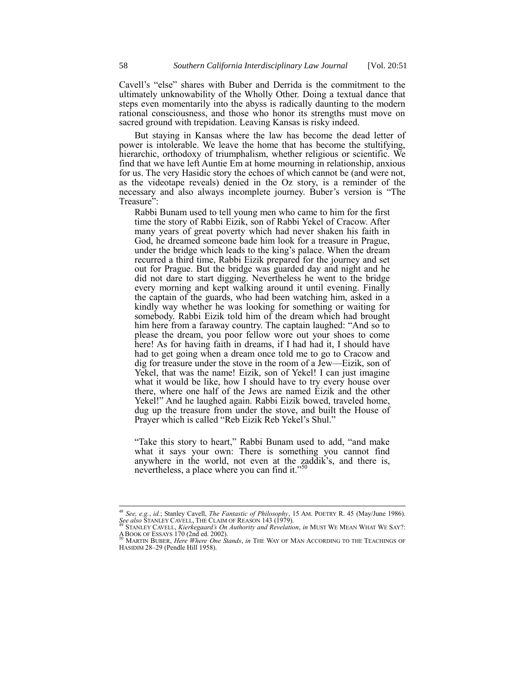Cavell's "else" shares with Buber and Derrida is the commitment to the ultimately unknowability of the Wholly Other. Doing a textual dance that steps even momentarily into the abyss is radically daunting to the modern rational consciousness, and those who honor its strengths must move on sacred ground with trepidation. Leaving Kansas is risky indeed.

But staying in Kansas where the law has become the dead letter of power is intolerable. We leave the home that has become the stultifying, hierarchic, orthodoxy of triumphalism, whether religious or scientific. We find that we have left Auntie Em at home mourning in relationship, anxious for us. The very Hasidic story the echoes of which cannot be (and were not, as the videotape reveals) denied in the Oz story, is a reminder of the necessary and also always incomplete journey. Buber's version is "The Treasure":

Rabbi Bunam used to tell young men who came to him for the first time the story of Rabbi Eizik, son of Rabbi Yekel of Cracow. After many years of great poverty which had never shaken his faith in God, he dreamed someone bade him look for a treasure in Prague, under the bridge which leads to the king's palace. When the dream recurred a third time, Rabbi Eizik prepared for the journey and set out for Prague. But the bridge was guarded day and night and he did not dare to start digging. Nevertheless he went to the bridge every morning and kept walking around it until evening. Finally the captain of the guards, who had been watching him, asked in a kindly way whether he was looking for something or waiting for somebody. Rabbi Eizik told him of the dream which had brought him here from a faraway country. The captain laughed: "And so to please the dream, you poor fellow wore out your shoes to come here! As for having faith in dreams, if I had had it, I should have had to get going when a dream once told me to go to Cracow and dig for treasure under the stove in the room of a Jew—Eizik, son of Yekel, that was the name! Eizik, son of Yekel! I can just imagine what it would be like, how I should have to try every house over there, where one half of the Jews are named Eizik and the other Yekel!" And he laughed again. Rabbi Eizik bowed, traveled home, dug up the treasure from under the stove, and built the House of Prayer which is called "Reb Eizik Reb Yekel's Shul."

<span id="page-7-0"></span>"Take this story to heart," Rabbi Bunam used to add, "and make what it says your own: There is something you cannot find anywhere in the world, not even at the zaddik's, and there is, nevertheless, a place where you can find it." $50$ 

 $\overline{a}$ 

<sup>48</sup> *See, e.g.*, *id.*; Stanley Cavell, *The Fantastic of Philosophy*, 15 AM. POETRY R. 45 (May/June 1986). *See also Standaley Cavell, The Fantastic of Philosophy*, *See also STANLEY CAVELL*, THE CLAIM OF REASON 143 (1979).

<sup>49</sup> STANLEY CAVELL, *Kierkegaard's On Authority and Revelation*, *in* MUST WE MEAN WHAT WE SAY?: ABOOK OF ESSAYS 170 (2nd ed. 2002). <sup>50</sup> MARTIN BUBER, *Here Where One Stands*, *in* THE WAY OF MAN ACCORDING TO THE TEACHINGS OF

HASIDIM 28–29 (Pendle Hill 1958).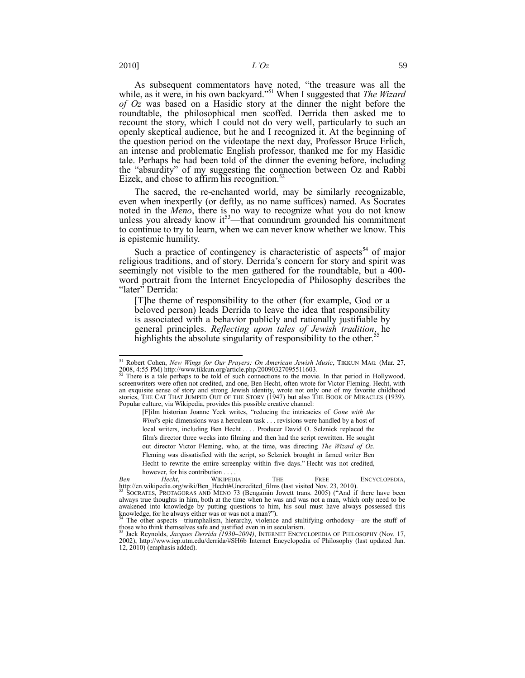As subsequent commentators have noted, "the treasure was all the while, as it were, in his own backyard."<sup>51</sup> When I suggested that *The Wizard of Oz* was based on a Hasidic story at the dinner the night before the roundtable, the philosophical men scoffed. Derrida then asked me to recount the story, which I could not do very well, particularly to such an openly skeptical audience, but he and I recognized it. At the beginning of the question period on the videotape the next day, Professor Bruce Erlich, an intense and problematic English professor, thanked me for my Hasidic tale. Perhaps he had been told of the dinner the evening before, including the "absurdity" of my suggesting the connection between Oz and Rabbi Eizek, and chose to affirm his recognition. $52$ 

<span id="page-8-0"></span>The sacred, the re-enchanted world, may be similarly recognizable, even when inexpertly (or deftly, as no name suffices) named. As Socrates noted in the *Meno*, there is no way to recognize what you do not know unless you already know  $it^{53}$ —that conundrum grounded his commitment to continue to try to learn, when we can never know whether we know. This is epistemic humility.

Such a practice of contingency is characteristic of aspects<sup>54</sup> of major religious traditions, and of story. Derrida's concern for story and spirit was seemingly not visible to the men gathered for the roundtable, but a 400 word portrait from the Internet Encyclopedia of Philosophy describes the "later" Derrida:

[T]he theme of responsibility to the other (for example, God or a beloved person) leads Derrida to leave the idea that responsibility is associated with a behavior publicly and rationally justifiable by general principles. *Reflecting upon tales of Jewish tradition*, he highlights the absolute singularity of responsibility to the other.<sup>5</sup>

l

[F]ilm historian Joanne Yeck writes, "reducing the intricacies of *Gone with the Wind's* epic dimensions was a herculean task . . . revisions were handled by a host of local writers, including Ben Hecht . . . . Producer David O. Selznick replaced the film's director three weeks into filming and then had the script rewritten. He sought out director Victor Fleming, who, at the time, was directing *The Wizard of Oz*. Fleming was dissatisfied with the script, so Selznick brought in famed writer Ben Hecht to rewrite the entire screenplay within five days." Hecht was not credited, however, for his contribution . . . .

<sup>51</sup> Robert Cohen, *New Wings for Our Prayers: On American Jewish Music*, TIKKUN MAG. (Mar. 27, 2008, 4:55 PM) http://www.tikkun.org/article.php/20090327095511603.

There is a tale perhaps to be told of such connections to the movie. In that period in Hollywood, screenwriters were often not credited, and one, Ben Hecht, often wrote for Victor Fleming. Hecht, with an exquisite sense of story and strong Jewish identity, wrote not only one of my favorite childhood stories, THE CAT THAT JUMPED OUT OF THE STORY (1947) but also THE BOOK OF MIRACLES (1939). Popular culture, via Wikipedia, provides this possible creative channel:

*Ben Hecht*, WIKIPEDIA THE FREE ENCYCLOPEDIA, http://en.wikipedia.org/wiki/Ben\_Hecht#Uncredited\_films (last visited Nov. 23, 2010).<br><sup>53</sup> SOCRATES, PROTAGORAS AND MENO 73 (Bengamin Jowett trans. 2005) ("And if there have been

always true thoughts in him, both at the time when he was and was not a man, which only need to be awakened into knowledge by putting questions to him, his soul must have always possessed this knowledge, for he always either was or was not a man?").

The other aspects—triumphalism, hierarchy, violence and stultifying orthodoxy—are the stuff of those who think themselves safe and justified even in in secularism. <sup>55</sup> Jack Reynolds, *Jacques Derrida (1930–2004)*, INTERNET ENCYCLOPEDIA OF PHILOSOPHY (Nov. 17,

<sup>2002),</sup> http://www.iep.utm.edu/derrida/#SH6b Internet Encyclopedia of Philosophy (last updated Jan. 12, 2010) (emphasis added).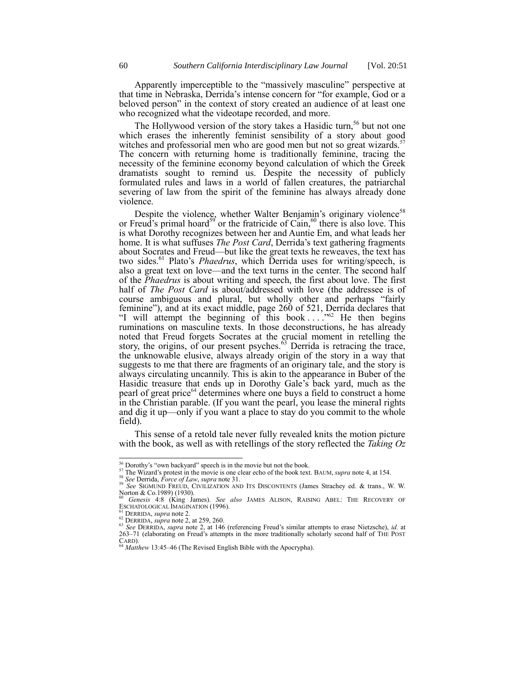Apparently imperceptible to the "massively masculine" perspective at that time in Nebraska, Derrida's intense concern for "for example, God or a beloved person" in the context of story created an audience of at least one who recognized what the videotape recorded, and more.

The Hollywood version of the story takes a Hasidic turn,<sup>56</sup> but not one which erases the inherently feminist sensibility of a story about good witches and professorial men who are good men but not so great wizards.<sup>5</sup> The concern with returning home is traditionally feminine, tracing the necessity of the feminine economy beyond calculation of which the Greek dramatists sought to remind us. Despite the necessity of publicly formulated rules and laws in a world of fallen creatures, the patriarchal severing of law from the spirit of the feminine has always already done violence.

Despite the violence, whether Walter Benjamin's originary violence<sup>58</sup> or Freud's primal hoard<sup>59</sup> or the fratricide of Cain,<sup>60</sup> there is also love. This is what Dorothy recognizes between her and Auntie Em, and what leads her home. It is what suffuses *The Post Card*, Derrida's text gathering fragments about Socrates and Freud—but like the great texts he reweaves, the text has two sides.<sup>61</sup> Plato's *Phaedrus*, which Derrida uses for writing/speech, is also a great text on love—and the text turns in the center. The second half of the *Phaedrus* is about writing and speech, the first about love. The first half of *The Post Card* is about/addressed with love (the addressee is of course ambiguous and plural, but wholly other and perhaps "fairly feminine"), and at its exact middle, page 260 of 521, Derrida declares that "I will attempt the beginning of this book  $\ldots$ ."<sup>62</sup> He then begins ruminations on masculine texts. In those deconstructions, he has already noted that Freud forgets Socrates at the crucial moment in retelling the story, the origins, of our present psyches.<sup>63</sup> Derrida is retracing the trace, the unknowable elusive, always already origin of the story in a way that suggests to me that there are fragments of an originary tale, and the story is always circulating uncannily. This is akin to the appearance in Buber of the Hasidic treasure that ends up in Dorothy Gale's back yard, much as the pearl of great price<sup>64</sup> determines where one buys a field to construct a home in the Christian parable. (If you want the pearl, you lease the mineral rights and dig it up—only if you want a place to stay do you commit to the whole field).

This sense of a retold tale never fully revealed knits the motion picture with the book, as well as with retellings of the story reflected the *Taking Oz* 

 $\frac{56}{10}$  Dorothy's "own backyard" speech is in the movie but not the book.

<sup>57</sup> The Wizard's protest in the movie is one clear echo of the book text. BAUM, *supra* not[e 4,](#page-0-0) at 154. <sup>58</sup> *See* Derrida, *Force of Law*, *supra* not[e 31.](#page-4-0)

<sup>59</sup> *See* SIGMUND FREUD, CIVILIZATION AND ITS DISCONTENTS (James Strachey ed. & trans., W. W. Norton & Co.1989) (1930). <sup>60</sup> *Genesis* 4:8 (King James). *See also* JAMES ALISON, RAISING ABEL: THE RECOVERY OF

ESCHATOLOGICAL IMAGINATION (1996). <sup>61</sup> DERRIDA, *supra* note [2.](#page-0-2)

<sup>62</sup> DERRIDA, *supra* note [2,](#page-0-2) at 259, 260.

<sup>63</sup> *See* DERRIDA, *supra* note [2](#page-0-2), at 146 (referencing Freud's similar attempts to erase Nietzsche), *id.* at 263–71 (elaborating on Freud's attempts in the more traditionally scholarly second half of THE POST  $\operatorname*{CARD}_{64}$ .

Matthew 13:45-46 (The Revised English Bible with the Apocrypha).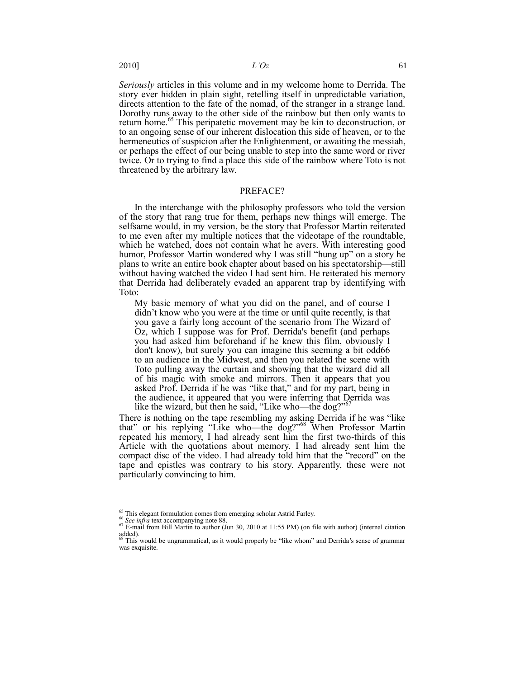*Seriously* articles in this volume and in my welcome home to Derrida. The story ever hidden in plain sight, retelling itself in unpredictable variation, directs attention to the fate of the nomad, of the stranger in a strange land. Dorothy runs away to the other side of the rainbow but then only wants to return home.<sup>65</sup> This peripatetic movement may be kin to deconstruction, or to an ongoing sense of our inherent dislocation this side of heaven, or to the hermeneutics of suspicion after the Enlightenment, or awaiting the messiah, or perhaps the effect of our being unable to step into the same word or river twice. Or to trying to find a place this side of the rainbow where Toto is not threatened by the arbitrary law.

## PREFACE?

In the interchange with the philosophy professors who told the version of the story that rang true for them, perhaps new things will emerge. The selfsame would, in my version, be the story that Professor Martin reiterated to me even after my multiple notices that the videotape of the roundtable, which he watched, does not contain what he avers. With interesting good humor, Professor Martin wondered why I was still "hung up" on a story he plans to write an entire book chapter about based on his spectatorship—still without having watched the video I had sent him. He reiterated his memory that Derrida had deliberately evaded an apparent trap by identifying with Toto:

My basic memory of what you did on the panel, and of course I didn't know who you were at the time or until quite recently, is that you gave a fairly long account of the scenario from The Wizard of Oz, which I suppose was for Prof. Derrida's benefit (and perhaps you had asked him beforehand if he knew this film, obviously I don't know), but surely you can imagine this seeming a bit odd66 to an audience in the Midwest, and then you related the scene with Toto pulling away the curtain and showing that the wizard did all of his magic with smoke and mirrors. Then it appears that you asked Prof. Derrida if he was "like that," and for my part, being in the audience, it appeared that you were inferring that Derrida was like the wizard, but then he said, "Like who—the dog?"

There is nothing on the tape resembling my asking Derrida if he was "like that" or his replying "Like who—the dog?"<sup>68</sup> When Professor Martin repeated his memory, I had already sent him the first two-thirds of this Article with the quotations about memory. I had already sent him the compact disc of the video. I had already told him that the "record" on the tape and epistles was contrary to his story. Apparently, these were not particularly convincing to him.

j

 $\frac{65}{65}$  This elegant formulation comes from emerging scholar Astrid Farley.

<sup>&</sup>lt;sup>66</sup> See infra text accompanying not[e 88.](#page-14-0)

 $67$  E-mail from Bill Martin to author (Jun 30, 2010 at 11:55 PM) (on file with author) (internal citation added).<br><sup>68</sup> This would be ungrammatical, as it would properly be "like whom" and Derrida's sense of grammar

was exquisite.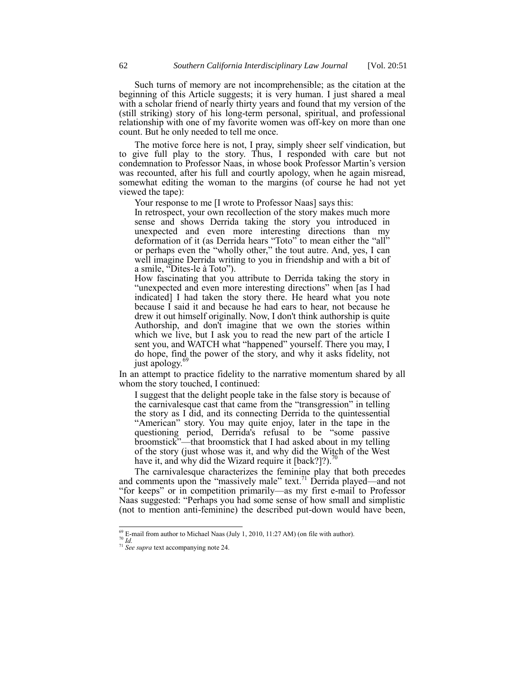Such turns of memory are not incomprehensible; as the citation at the beginning of this Article suggests; it is very human. I just shared a meal with a scholar friend of nearly thirty years and found that my version of the (still striking) story of his long-term personal, spiritual, and professional relationship with one of my favorite women was off-key on more than one count. But he only needed to tell me once.

The motive force here is not, I pray, simply sheer self vindication, but to give full play to the story. Thus, I responded with care but not condemnation to Professor Naas, in whose book Professor Martin's version was recounted, after his full and courtly apology, when he again misread, somewhat editing the woman to the margins (of course he had not yet viewed the tape):

Your response to me [I wrote to Professor Naas] says this:

In retrospect, your own recollection of the story makes much more sense and shows Derrida taking the story you introduced in unexpected and even more interesting directions than my deformation of it (as Derrida hears "Toto" to mean either the "all" or perhaps even the "wholly other," the tout autre. And, yes, I can well imagine Derrida writing to you in friendship and with a bit of a smile, "Dites-le à Toto").

How fascinating that you attribute to Derrida taking the story in "unexpected and even more interesting directions" when [as I had indicated] I had taken the story there. He heard what you note because I said it and because he had ears to hear, not because he drew it out himself originally. Now, I don't think authorship is quite Authorship, and don't imagine that we own the stories within which we live, but I ask you to read the new part of the article I sent you, and WATCH what "happened" yourself. There you may, I do hope, find the power of the story, and why it asks fidelity, not just apology.<sup>69</sup>

In an attempt to practice fidelity to the narrative momentum shared by all whom the story touched, I continued:

I suggest that the delight people take in the false story is because of the carnivalesque cast that came from the "transgression" in telling the story as I did, and its connecting Derrida to the quintessential "American" story. You may quite enjoy, later in the tape in the questioning period, Derrida<sup>f</sup>s refusal to be "some passive broomstick"—that broomstick that I had asked about in my telling of the story (just whose was it, and why did the Witch of the West have it, and why did the Wizard require it  $[back?]$ ?

The carnivalesque characterizes the feminine play that both precedes and comments upon the "massively male" text.<sup>71</sup> Derrida played—and not ―for keeps‖ or in competition primarily—as my first e-mail to Professor Naas suggested: "Perhaps you had some sense of how small and simplistic (not to mention anti-feminine) the described put-down would have been,

j  $^{69}$  E-mail from author to Michael Naas (July 1, 2010, 11:27 AM) (on file with author). <sup>70</sup> *Id.*

<sup>&</sup>lt;sup>71</sup> See supra text accompanying note [24.](#page-3-0)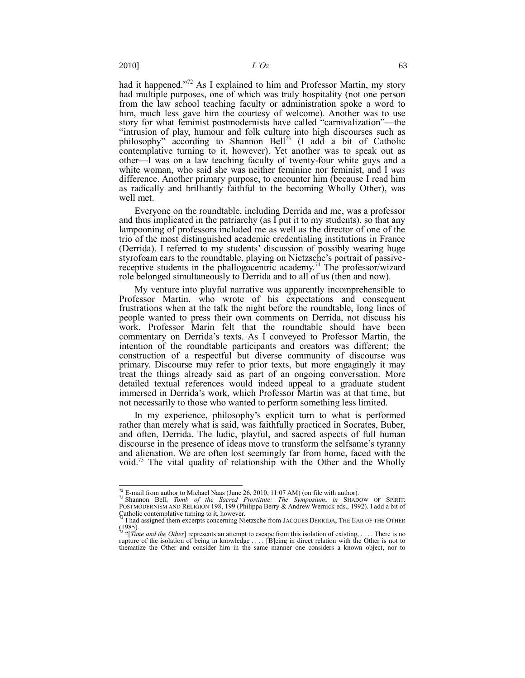had it happened.<sup>772</sup> As I explained to him and Professor Martin, my story had multiple purposes, one of which was truly hospitality (not one person from the law school teaching faculty or administration spoke a word to him, much less gave him the courtesy of welcome). Another was to use story for what feminist postmodernists have called "carnivalization"--- the "intrusion of play, humour and folk culture into high discourses such as philosophy" according to Shannon Bell<sup>73</sup> (I add a bit of Catholic contemplative turning to it, however). Yet another was to speak out as other—I was on a law teaching faculty of twenty-four white guys and a white woman, who said she was neither feminine nor feminist, and I *was* difference. Another primary purpose, to encounter him (because I read him as radically and brilliantly faithful to the becoming Wholly Other), was well met.

Everyone on the roundtable, including Derrida and me, was a professor and thus implicated in the patriarchy (as I put it to my students), so that any lampooning of professors included me as well as the director of one of the trio of the most distinguished academic credentialing institutions in France (Derrida). I referred to my students' discussion of possibly wearing huge styrofoam ears to the roundtable, playing on Nietzsche's portrait of passivereceptive students in the phallogocentric academy.<sup>74</sup> The professor/wizard role belonged simultaneously to Derrida and to all of us (then and now).

My venture into playful narrative was apparently incomprehensible to Professor Martin, who wrote of his expectations and consequent frustrations when at the talk the night before the roundtable, long lines of people wanted to press their own comments on Derrida, not discuss his work. Professor Marin felt that the roundtable should have been commentary on Derrida's texts. As I conveyed to Professor Martin, the intention of the roundtable participants and creators was different; the construction of a respectful but diverse community of discourse was primary. Discourse may refer to prior texts, but more engagingly it may treat the things already said as part of an ongoing conversation. More detailed textual references would indeed appeal to a graduate student immersed in Derrida's work, which Professor Martin was at that time, but not necessarily to those who wanted to perform something less limited.

In my experience, philosophy's explicit turn to what is performed rather than merely what is said, was faithfully practiced in Socrates, Buber, and often, Derrida. The ludic, playful, and sacred aspects of full human discourse in the presence of ideas move to transform the selfsame's tyranny and alienation. We are often lost seemingly far from home, faced with the void. <sup>75</sup> The vital quality of relationship with the Other and the Wholly

 $\overline{a}$ 

 $^{72}$  E-mail from author to Michael Naas (June 26, 2010, 11:07 AM) (on file with author).

<sup>&</sup>lt;sup>73</sup> Shannon Bell, *Tomb of the Sacred Prostitute: The Symposium*, *in* SHADOW OF SPIRIT: POSTMODERNISM AND RELIGION 198, 199 (Philippa Berry & Andrew Wernick eds., 1992). I add a bit of

Catholic contemplative turning to it, however. <sup>74</sup> I had assigned them excerpts concerning Nietzsche from JACQUES DERRIDA, THE EAR OF THE OTHER

<sup>(1985).&</sup>lt;br><sup>75</sup> "[*Time and the Other*] represents an attempt to escape from this isolation of existing, . . . . There is no rupture of the isolation of being in knowledge . . . . [B]eing in direct relation with the Other is not to thematize the Other and consider him in the same manner one considers a known object, nor to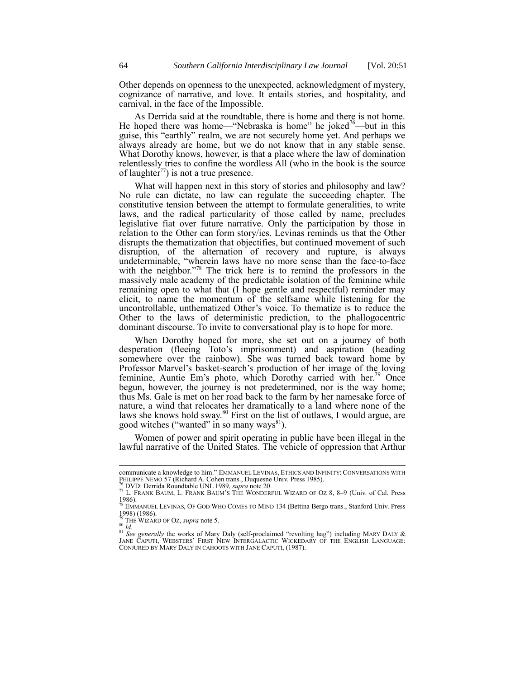Other depends on openness to the unexpected, acknowledgment of mystery, cognizance of narrative, and love. It entails stories, and hospitality, and carnival, in the face of the Impossible.

As Derrida said at the roundtable, there is home and there is not home. He hoped there was home—"Nebraska is home" he joked<sup>76</sup>—but in this guise, this "earthly" realm, we are not securely home yet. And perhaps we always already are home, but we do not know that in any stable sense. What Dorothy knows, however, is that a place where the law of domination relentlessly tries to confine the wordless All (who in the book is the source of laughter<sup>77</sup>) is not a true presence.

What will happen next in this story of stories and philosophy and law? No rule can dictate, no law can regulate the succeeding chapter. The constitutive tension between the attempt to formulate generalities, to write laws, and the radical particularity of those called by name, precludes legislative fiat over future narrative. Only the participation by those in relation to the Other can form story/ies. Levinas reminds us that the Other disrupts the thematization that objectifies, but continued movement of such disruption, of the alternation of recovery and rupture, is always undeterminable, "wherein laws have no more sense than the face-to-face with the neighbor.<sup>778</sup> The trick here is to remind the professors in the massively male academy of the predictable isolation of the feminine while remaining open to what that (I hope gentle and respectful) reminder may elicit, to name the momentum of the selfsame while listening for the uncontrollable, unthematized Other's voice. To thematize is to reduce the Other to the laws of deterministic prediction, to the phallogocentric dominant discourse. To invite to conversational play is to hope for more.

When Dorothy hoped for more, she set out on a journey of both desperation (fleeing Toto's imprisonment) and aspiration (heading somewhere over the rainbow). She was turned back toward home by Professor Marvel's basket-search's production of her image of the loving feminine, Auntie Em's photo, which Dorothy carried with her.<sup>79</sup> Once begun, however, the journey is not predetermined, nor is the way home; thus Ms. Gale is met on her road back to the farm by her namesake force of nature, a wind that relocates her dramatically to a land where none of the laws she knows hold sway.<sup>80</sup> First on the list of outlaws, I would argue, are good witches ("wanted" in so many ways<sup>81</sup>).

Women of power and spirit operating in public have been illegal in the lawful narrative of the United States. The vehicle of oppression that Arthur

communicate a knowledge to him." EMMANUEL LEVINAS, ETHICS AND INFINITY: CONVERSATIONS WITH PHILIPPE NEMO 57 (Richard A. Cohen trans., Duquesne Univ. Press 1985).<br><sup>76</sup> DVD: Derrida Roundtable UNL 1989, *supra* not[e 20.](#page-2-1)

<sup>77</sup> L. FRANK BAUM, L. FRANK BAUM'S THE WONDERFUL WIZARD OF OZ 8, 8–9 (Univ. of Cal. Press

 $1986$ ).<br> $78F$ EMMANUEL LEVINAS, OF GOD WHO COMES TO MIND 134 (Bettina Bergo trans., Stanford Univ. Press

<sup>1998) (1986).</sup> 

<sup>79</sup> THE WIZARD OF OZ, *supra* not[e 5.](#page-0-1)

<sup>80</sup> *Id.*

<sup>&</sup>lt;sup>81</sup> *See generally* the works of Mary Daly (self-proclaimed "revolting hag") including MARY DALY & JANE CAPUTI, WEBSTERS' FIRST NEW INTERGALACTIC WICKEDARY OF THE ENGLISH LANGUAGE: CONJURED BY MARY DALY IN CAHOOTS WITH JANE CAPUTI, (1987).